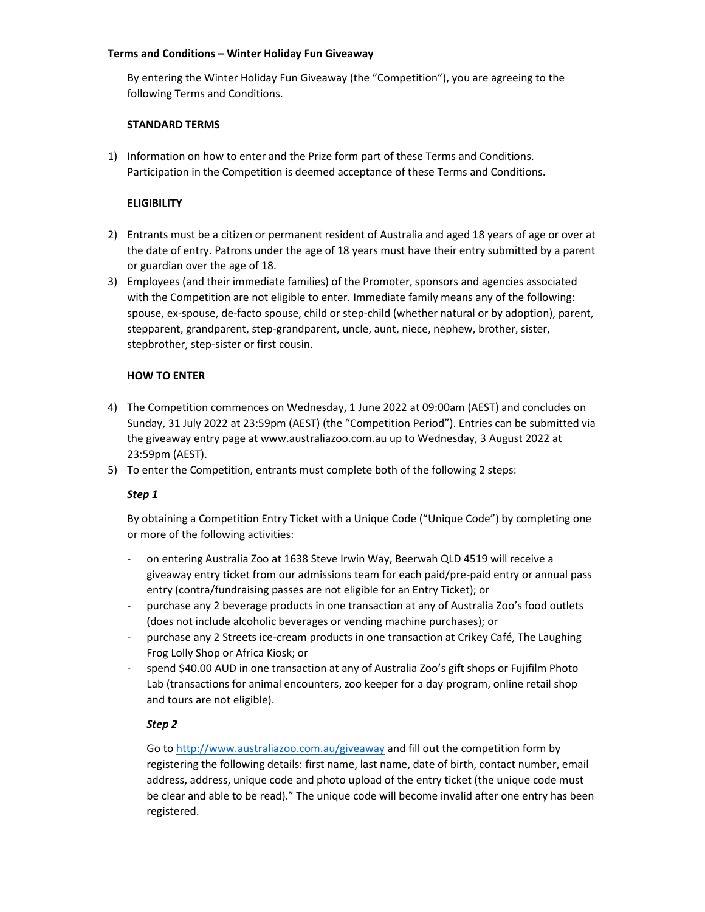### Terms and Conditions – Winter Holiday Fun Giveaway

By entering the Winter Holiday Fun Giveaway (the "Competition"), you are agreeing to the following Terms and Conditions.

### STANDARD TERMS

1) Information on how to enter and the Prize form part of these Terms and Conditions. Participation in the Competition is deemed acceptance of these Terms and Conditions.

### **ELIGIBILITY**

- 2) Entrants must be a citizen or permanent resident of Australia and aged 18 years of age or over at the date of entry. Patrons under the age of 18 years must have their entry submitted by a parent or guardian over the age of 18.
- 3) Employees (and their immediate families) of the Promoter, sponsors and agencies associated with the Competition are not eligible to enter. Immediate family means any of the following: spouse, ex-spouse, de-facto spouse, child or step-child (whether natural or by adoption), parent, stepparent, grandparent, step-grandparent, uncle, aunt, niece, nephew, brother, sister, stepbrother, step-sister or first cousin.

### HOW TO ENTER

- 4) The Competition commences on Wednesday, 1 June 2022 at 09:00am (AEST) and concludes on Sunday, 31 July 2022 at 23:59pm (AEST) (the "Competition Period"). Entries can be submitted via the giveaway entry page at www.australiazoo.com.au up to Wednesday, 3 August 2022 at 23:59pm (AEST).
- 5) To enter the Competition, entrants must complete both of the following 2 steps:

# Step 1

By obtaining a Competition Entry Ticket with a Unique Code ("Unique Code") by completing one or more of the following activities:

- on entering Australia Zoo at 1638 Steve Irwin Way, Beerwah QLD 4519 will receive a giveaway entry ticket from our admissions team for each paid/pre-paid entry or annual pass entry (contra/fundraising passes are not eligible for an Entry Ticket); or
- purchase any 2 beverage products in one transaction at any of Australia Zoo's food outlets (does not include alcoholic beverages or vending machine purchases); or
- purchase any 2 Streets ice-cream products in one transaction at Crikey Café, The Laughing Frog Lolly Shop or Africa Kiosk; or
- spend \$40.00 AUD in one transaction at any of Australia Zoo's gift shops or Fujifilm Photo Lab (transactions for animal encounters, zoo keeper for a day program, online retail shop and tours are not eligible).

# Step 2

Go to http://www.australiazoo.com.au/giveaway and fill out the competition form by registering the following details: first name, last name, date of birth, contact number, email address, address, unique code and photo upload of the entry ticket (the unique code must be clear and able to be read)." The unique code will become invalid after one entry has been registered.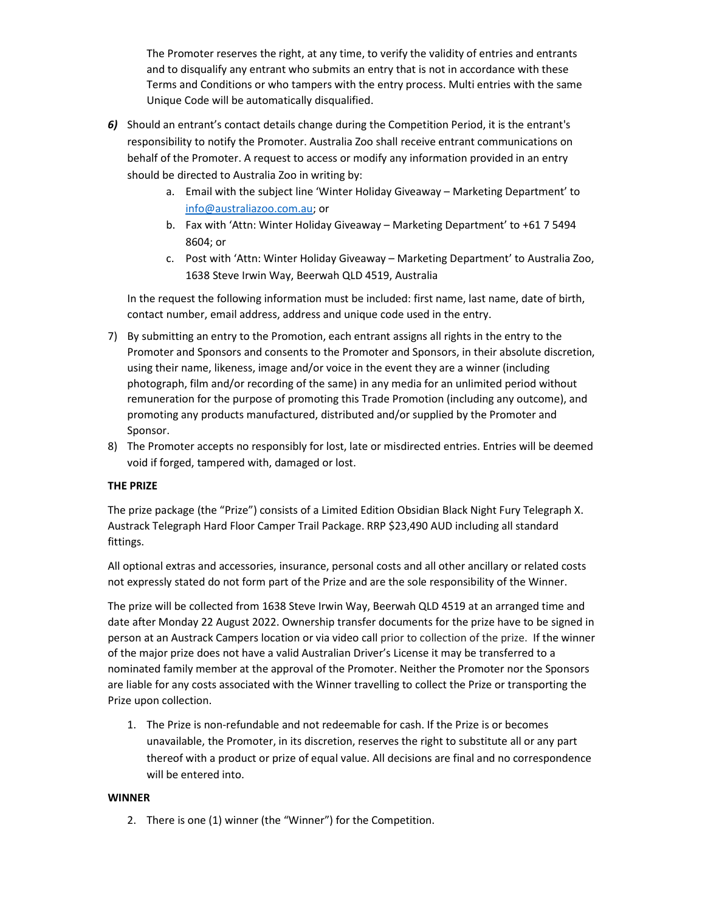The Promoter reserves the right, at any time, to verify the validity of entries and entrants and to disqualify any entrant who submits an entry that is not in accordance with these Terms and Conditions or who tampers with the entry process. Multi entries with the same Unique Code will be automatically disqualified.

- 6) Should an entrant's contact details change during the Competition Period, it is the entrant's responsibility to notify the Promoter. Australia Zoo shall receive entrant communications on behalf of the Promoter. A request to access or modify any information provided in an entry should be directed to Australia Zoo in writing by:
	- a. Email with the subject line 'Winter Holiday Giveaway Marketing Department' to info@australiazoo.com.au; or
	- b. Fax with 'Attn: Winter Holiday Giveaway Marketing Department' to +61 7 5494 8604; or
	- c. Post with 'Attn: Winter Holiday Giveaway Marketing Department' to Australia Zoo, 1638 Steve Irwin Way, Beerwah QLD 4519, Australia

In the request the following information must be included: first name, last name, date of birth, contact number, email address, address and unique code used in the entry.

- 7) By submitting an entry to the Promotion, each entrant assigns all rights in the entry to the Promoter and Sponsors and consents to the Promoter and Sponsors, in their absolute discretion, using their name, likeness, image and/or voice in the event they are a winner (including photograph, film and/or recording of the same) in any media for an unlimited period without remuneration for the purpose of promoting this Trade Promotion (including any outcome), and promoting any products manufactured, distributed and/or supplied by the Promoter and Sponsor.
- 8) The Promoter accepts no responsibly for lost, late or misdirected entries. Entries will be deemed void if forged, tampered with, damaged or lost.

#### THE PRIZE

The prize package (the "Prize") consists of a Limited Edition Obsidian Black Night Fury Telegraph X. Austrack Telegraph Hard Floor Camper Trail Package. RRP \$23,490 AUD including all standard fittings.

All optional extras and accessories, insurance, personal costs and all other ancillary or related costs not expressly stated do not form part of the Prize and are the sole responsibility of the Winner.

The prize will be collected from 1638 Steve Irwin Way, Beerwah QLD 4519 at an arranged time and date after Monday 22 August 2022. Ownership transfer documents for the prize have to be signed in person at an Austrack Campers location or via video call prior to collection of the prize. If the winner of the major prize does not have a valid Australian Driver's License it may be transferred to a nominated family member at the approval of the Promoter. Neither the Promoter nor the Sponsors are liable for any costs associated with the Winner travelling to collect the Prize or transporting the Prize upon collection.

1. The Prize is non-refundable and not redeemable for cash. If the Prize is or becomes unavailable, the Promoter, in its discretion, reserves the right to substitute all or any part thereof with a product or prize of equal value. All decisions are final and no correspondence will be entered into.

#### **WINNER**

2. There is one (1) winner (the "Winner") for the Competition.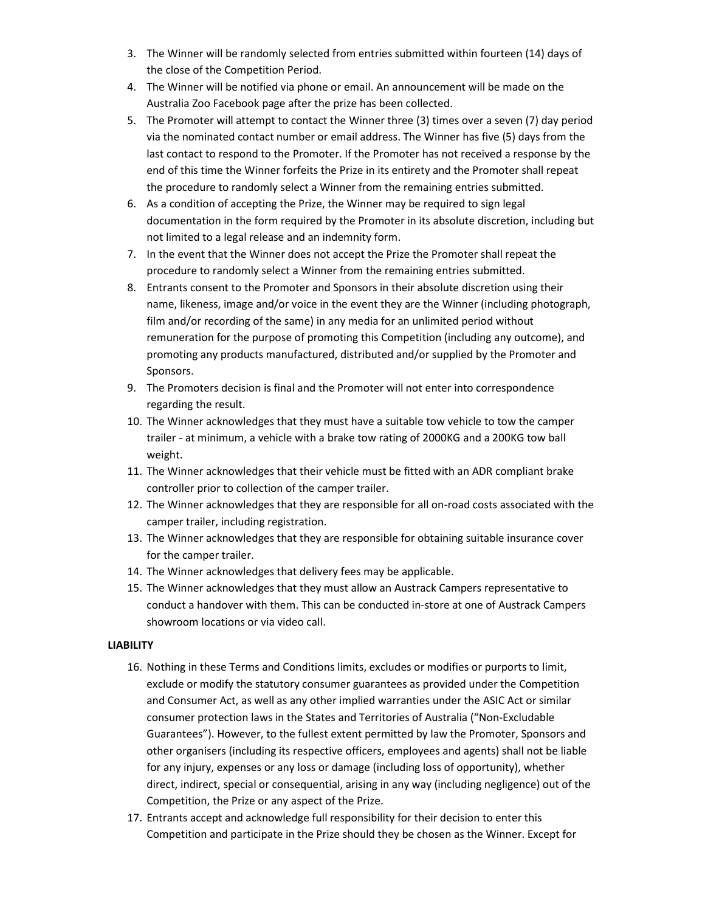- 3. The Winner will be randomly selected from entries submitted within fourteen (14) days of the close of the Competition Period.
- 4. The Winner will be notified via phone or email. An announcement will be made on the Australia Zoo Facebook page after the prize has been collected.
- 5. The Promoter will attempt to contact the Winner three (3) times over a seven (7) day period via the nominated contact number or email address. The Winner has five (5) days from the last contact to respond to the Promoter. If the Promoter has not received a response by the end of this time the Winner forfeits the Prize in its entirety and the Promoter shall repeat the procedure to randomly select a Winner from the remaining entries submitted.
- 6. As a condition of accepting the Prize, the Winner may be required to sign legal documentation in the form required by the Promoter in its absolute discretion, including but not limited to a legal release and an indemnity form.
- 7. In the event that the Winner does not accept the Prize the Promoter shall repeat the procedure to randomly select a Winner from the remaining entries submitted.
- 8. Entrants consent to the Promoter and Sponsors in their absolute discretion using their name, likeness, image and/or voice in the event they are the Winner (including photograph, film and/or recording of the same) in any media for an unlimited period without remuneration for the purpose of promoting this Competition (including any outcome), and promoting any products manufactured, distributed and/or supplied by the Promoter and Sponsors.
- 9. The Promoters decision is final and the Promoter will not enter into correspondence regarding the result.
- 10. The Winner acknowledges that they must have a suitable tow vehicle to tow the camper trailer - at minimum, a vehicle with a brake tow rating of 2000KG and a 200KG tow ball weight.
- 11. The Winner acknowledges that their vehicle must be fitted with an ADR compliant brake controller prior to collection of the camper trailer.
- 12. The Winner acknowledges that they are responsible for all on-road costs associated with the camper trailer, including registration.
- 13. The Winner acknowledges that they are responsible for obtaining suitable insurance cover for the camper trailer.
- 14. The Winner acknowledges that delivery fees may be applicable.
- 15. The Winner acknowledges that they must allow an Austrack Campers representative to conduct a handover with them. This can be conducted in-store at one of Austrack Campers showroom locations or via video call.

#### LIABILITY

- 16. Nothing in these Terms and Conditions limits, excludes or modifies or purports to limit, exclude or modify the statutory consumer guarantees as provided under the Competition and Consumer Act, as well as any other implied warranties under the ASIC Act or similar consumer protection laws in the States and Territories of Australia ("Non-Excludable Guarantees"). However, to the fullest extent permitted by law the Promoter, Sponsors and other organisers (including its respective officers, employees and agents) shall not be liable for any injury, expenses or any loss or damage (including loss of opportunity), whether direct, indirect, special or consequential, arising in any way (including negligence) out of the Competition, the Prize or any aspect of the Prize.
- 17. Entrants accept and acknowledge full responsibility for their decision to enter this Competition and participate in the Prize should they be chosen as the Winner. Except for